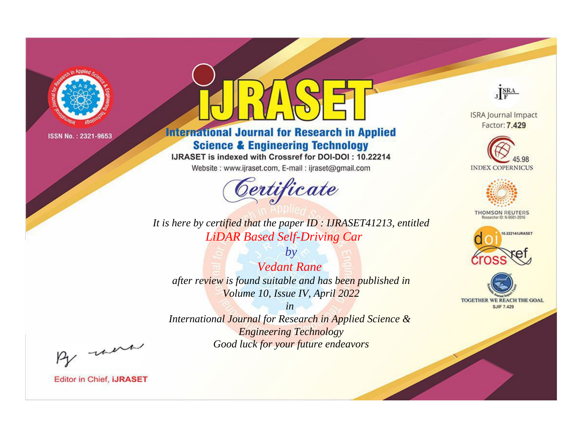

# **International Journal for Research in Applied Science & Engineering Technology**

IJRASET is indexed with Crossref for DOI-DOI: 10.22214

Website: www.ijraset.com, E-mail: ijraset@gmail.com



JERA

**ISRA Journal Impact** Factor: 7.429





**THOMSON REUTERS** 



TOGETHER WE REACH THE GOAL **SJIF 7.429** 

*It is here by certified that the paper ID : IJRASET41213, entitled LiDAR Based Self-Driving Car*

*by Vedant Rane after review is found suitable and has been published in Volume 10, Issue IV, April 2022*

*in* 

*International Journal for Research in Applied Science & Engineering Technology Good luck for your future endeavors*

By morn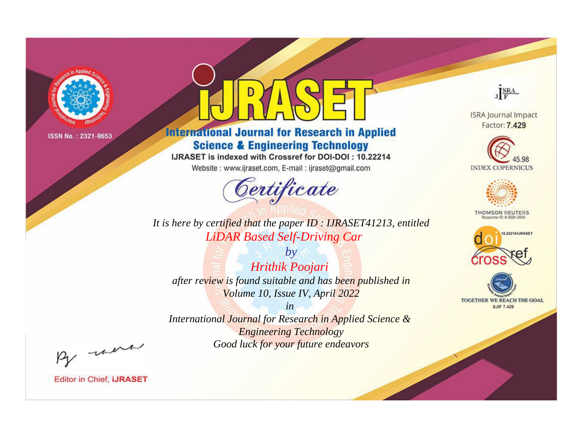

# **International Journal for Research in Applied Science & Engineering Technology**

IJRASET is indexed with Crossref for DOI-DOI: 10.22214

Website: www.ijraset.com, E-mail: ijraset@gmail.com



JERA

**ISRA Journal Impact** Factor: 7.429





**THOMSON REUTERS** 



TOGETHER WE REACH THE GOAL **SJIF 7.429** 

*It is here by certified that the paper ID : IJRASET41213, entitled LiDAR Based Self-Driving Car*

*by Hrithik Poojari after review is found suitable and has been published in Volume 10, Issue IV, April 2022*

*in International Journal for Research in Applied Science &* 

*Engineering Technology Good luck for your future endeavors*

By morn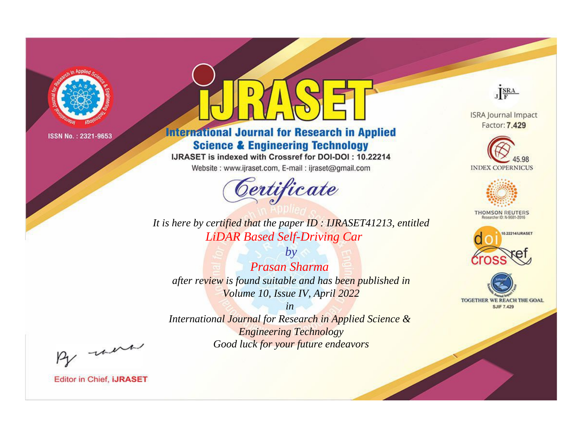

# **International Journal for Research in Applied Science & Engineering Technology**

IJRASET is indexed with Crossref for DOI-DOI: 10.22214

Website: www.ijraset.com, E-mail: ijraset@gmail.com



JERA

**ISRA Journal Impact** Factor: 7.429





**THOMSON REUTERS** 



TOGETHER WE REACH THE GOAL **SJIF 7.429** 

It is here by certified that the paper ID : IJRASET41213, entitled **LiDAR Based Self-Driving Car** 

 $b\nu$ **Prasan Sharma** after review is found suitable and has been published in Volume 10, Issue IV, April 2022

 $in$ International Journal for Research in Applied Science & **Engineering Technology** Good luck for your future endeavors

By morn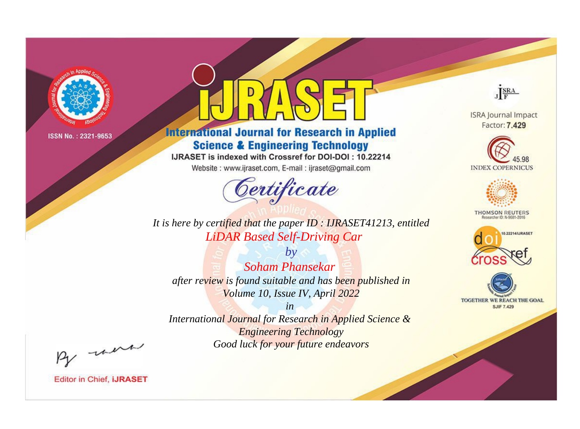

# **International Journal for Research in Applied Science & Engineering Technology**

IJRASET is indexed with Crossref for DOI-DOI: 10.22214

Website: www.ijraset.com, E-mail: ijraset@gmail.com



JERA

**ISRA Journal Impact** Factor: 7.429





**THOMSON REUTERS** 



TOGETHER WE REACH THE GOAL **SJIF 7.429** 

*It is here by certified that the paper ID : IJRASET41213, entitled LiDAR Based Self-Driving Car*

*Soham Phansekar after review is found suitable and has been published in Volume 10, Issue IV, April 2022*

*by*

*in* 

*International Journal for Research in Applied Science & Engineering Technology Good luck for your future endeavors*

By morn